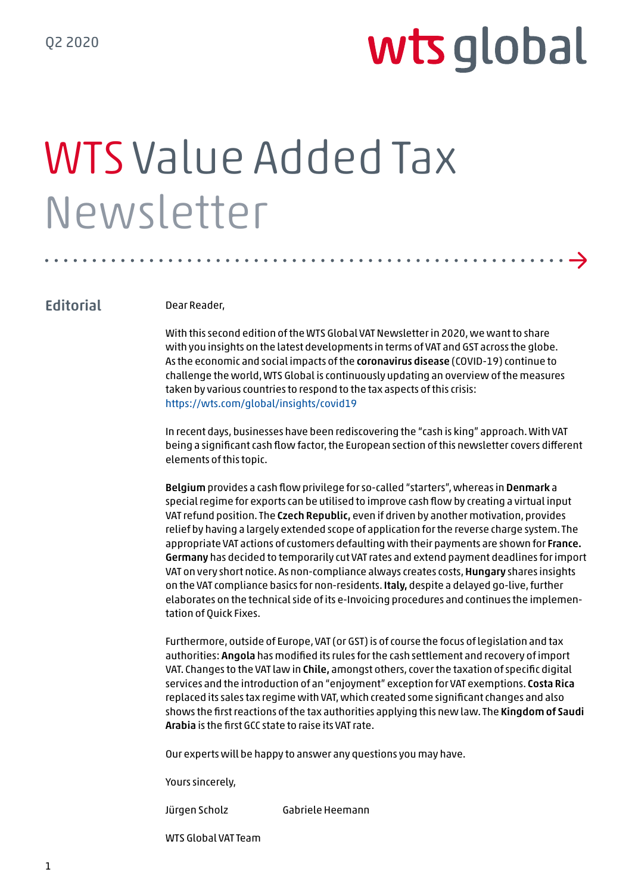→

# WTS Value Added Tax Newsletter

#### **Editorial**

Dear Reader,

With this second edition of the WTS Global VAT Newsletter in 2020, we want to share with you insights on the latest developments in terms of VAT and GST across the globe. As the economic and social impacts of the coronavirus disease (COVID-19) continue to challenge the world, WTS Global is continuously updating an overview of the measures taken by various countries to respond to the tax aspects of this crisis: https://wts.com/global/insights/covid19

In recent days, businesses have been rediscovering the "cash is king" approach. With VAT being a significant cash flow factor, the European section of this newsletter covers different elements of this topic.

Belgium provides a cash flow privilege for so-called "starters", whereas in Denmark a special regime for exports can be utilised to improve cash flow by creating a virtual input VAT refund position. The Czech Republic, even if driven by another motivation, provides relief by having a largely extended scope of application for the reverse charge system. The appropriate VAT actions of customers defaulting with their payments are shown for France. Germany has decided to temporarily cut VAT rates and extend payment deadlines for import VAT on very short notice. As non-compliance always creates costs, Hungary shares insights on the VAT compliance basics for non-residents. Italy, despite a delayed go-live, further elaborates on the technical side of its e-Invoicing procedures and continues the implementation of Quick Fixes.

Furthermore, outside of Europe, VAT (or GST) is of course the focus of legislation and tax authorities: Angola has modified its rules for the cash settlement and recovery of import VAT. Changes to the VAT law in Chile, amongst others, cover the taxation of specific digital services and the introduction of an "enjoyment" exception for VAT exemptions. Costa Rica replaced its sales tax regime with VAT, which created some significant changes and also shows the first reactions of the tax authorities applying this new law. The Kingdom of Saudi Arabia is the first GCC state to raise its VAT rate.

Our experts will be happy to answer any questions you may have.

Yours sincerely,

Jürgen Scholz Gabriele Heemann

WTS Global VAT Team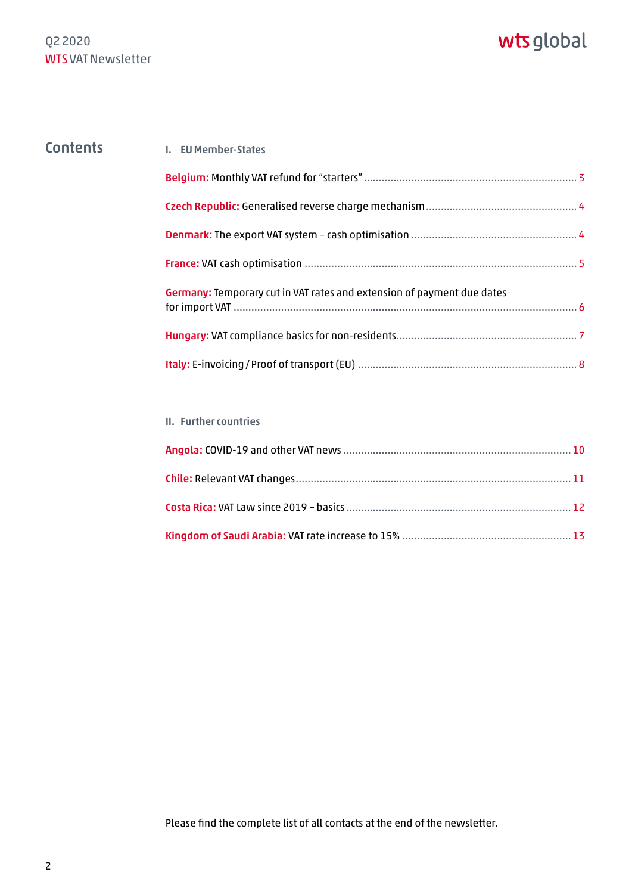#### Contents 1. EU Member-States

| Germany: Temporary cut in VAT rates and extension of payment due dates |  |
|------------------------------------------------------------------------|--|
|                                                                        |  |
|                                                                        |  |

#### II. Further countries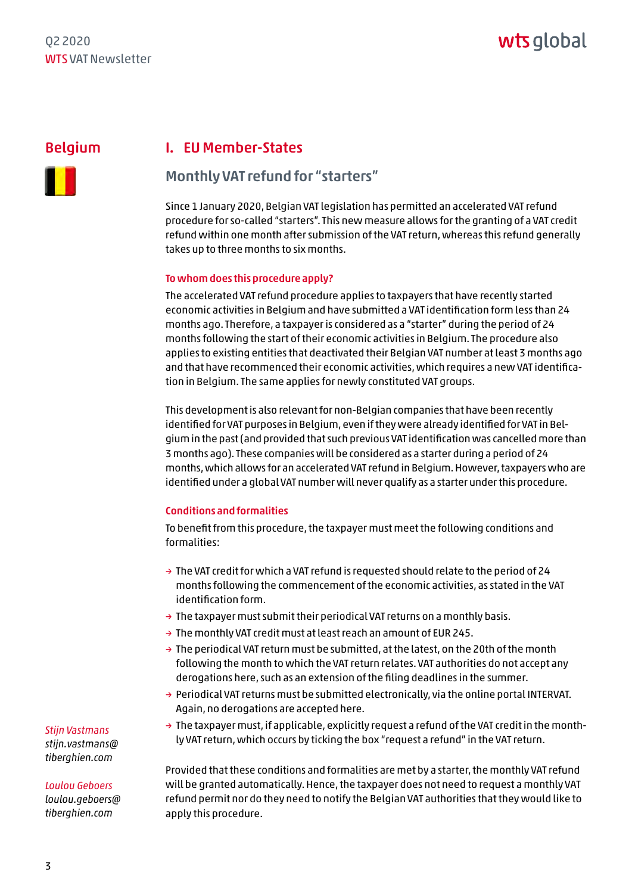#### <span id="page-2-0"></span>Belgium



#### I. EU Member-States

#### Monthly VAT refund for "starters"

Since 1 January 2020, Belgian VAT legislation has permitted an accelerated VAT refund procedure for so-called "starters". This new measure allows for the granting of a VAT credit refund within one month after submission of the VAT return, whereas this refund generally takes up to three months to six months.

#### To whom does this procedure apply?

The accelerated VAT refund procedure applies to taxpayers that have recently started economic activities in Belgium and have submitted a VAT identification form less than 24 months ago. Therefore, a taxpayer is considered as a "starter" during the period of 24 months following the start of their economic activities in Belgium. The procedure also applies to existing entities that deactivated their Belgian VAT number at least 3 months ago and that have recommenced their economic activities, which requires a new VAT identification in Belgium. The same applies for newly constituted VAT groups.

This development is also relevant for non-Belgian companies that have been recently identified for VAT purposes in Belgium, even if they were already identified for VAT in Belgium in the past (and provided that such previous VAT identification was cancelled more than 3 months ago). These companies will be considered as a starter during a period of 24 months, which allows for an accelerated VAT refund in Belgium. However, taxpayers who are identified under a global VAT number will never qualify as a starter under this procedure.

#### Conditions and formalities

To benefit from this procedure, the taxpayer must meet the following conditions and formalities:

- $\rightarrow$  The VAT credit for which a VAT refund is requested should relate to the period of 24 months following the commencement of the economic activities, as stated in the VAT identification form.
- $\rightarrow$  The taxpayer must submit their periodical VAT returns on a monthly basis.
- $\rightarrow$  The monthly VAT credit must at least reach an amount of EUR 245.
- $\rightarrow$  The periodical VAT return must be submitted, at the latest, on the 20th of the month following the month to which the VAT return relates. VAT authorities do not accept any derogations here, such as an extension of the filing deadlines in the summer.
- $\rightarrow$  Periodical VAT returns must be submitted electronically, via the online portal INTERVAT. Again, no derogations are accepted here.
- $\rightarrow$  The taxpayer must, if applicable, explicitly request a refund of the VAT credit in the monthly VAT return, which occurs by ticking the box "request a refund" in the VAT return.

Provided that these conditions and formalities are met by a starter, the monthly VAT refund will be granted automatically. Hence, the taxpayer does not need to request a monthly VAT refund permit nor do they need to notify the Belgian VAT authorities that they would like to apply this procedure.

*Stijn Vastmans [stijn.vastmans@](mailto:stijn.vastmans@tiberghien.com) tiberghien.com*

#### *Loulou Geboers*

*[loulou.geboers@](mailto:loulou.geboers@tiberghien.com) tiberghien.com*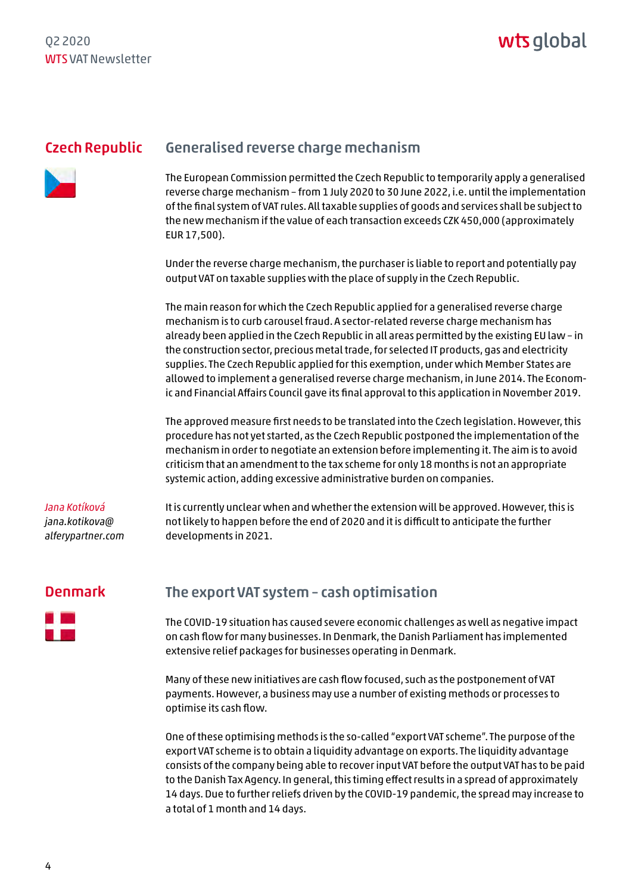#### <span id="page-3-0"></span>Czech Republic



#### Generalised reverse charge mechanism

The European Commission permitted the Czech Republic to temporarily apply a generalised reverse charge mechanism – from 1 July 2020 to 30 June 2022, i.e. until the implementation of the final system of VAT rules. All taxable supplies of goods and services shall be subject to the new mechanism if the value of each transaction exceeds CZK 450,000 (approximately EUR 17,500).

Under the reverse charge mechanism, the purchaser is liable to report and potentially pay output VAT on taxable supplies with the place of supply in the Czech Republic.

The main reason for which the Czech Republic applied for a generalised reverse charge mechanism is to curb carousel fraud. A sector-related reverse charge mechanism has already been applied in the Czech Republic in all areas permitted by the existing EU law – in the construction sector, precious metal trade, for selected IT products, gas and electricity supplies. The Czech Republic applied for this exemption, under which Member States are allowed to implement a generalised reverse charge mechanism, in June 2014. The Economic and Financial Affairs Council gave its final approval to this application in November 2019.

The approved measure first needs to be translated into the Czech legislation. However, this procedure has not yet started, as the Czech Republic postponed the implementation of the mechanism in order to negotiate an extension before implementing it. The aim is to avoid criticism that an amendment to the tax scheme for only 18 months is not an appropriate systemic action, adding excessive administrative burden on companies.

#### *Jana Kotíková jana.kotikova@ a[lferypartner.com](mailto:jana.kotikova@alferypartner.com)*

It is currently unclear when and whether the extension will be approved. However, this is not likely to happen before the end of 2020 and it is difficult to anticipate the further developments in 2021.

#### Denmark



### The export VAT system – cash optimisation

The COVID-19 situation has caused severe economic challenges as well as negative impact on cash flow for many businesses. In Denmark, the Danish Parliament has implemented extensive relief packages for businesses operating in Denmark.

Many of these new initiatives are cash flow focused, such as the postponement of VAT payments. However, a business may use a number of existing methods or processes to optimise its cash flow.

One of these optimising methods is the so-called "export VAT scheme". The purpose of the export VAT scheme is to obtain a liquidity advantage on exports. The liquidity advantage consists of the company being able to recover input VAT before the output VAT has to be paid to the Danish Tax Agency. In general, this timing effect results in a spread of approximately 14 days. Due to further reliefs driven by the COVID-19 pandemic, the spread may increase to a total of 1 month and 14 days.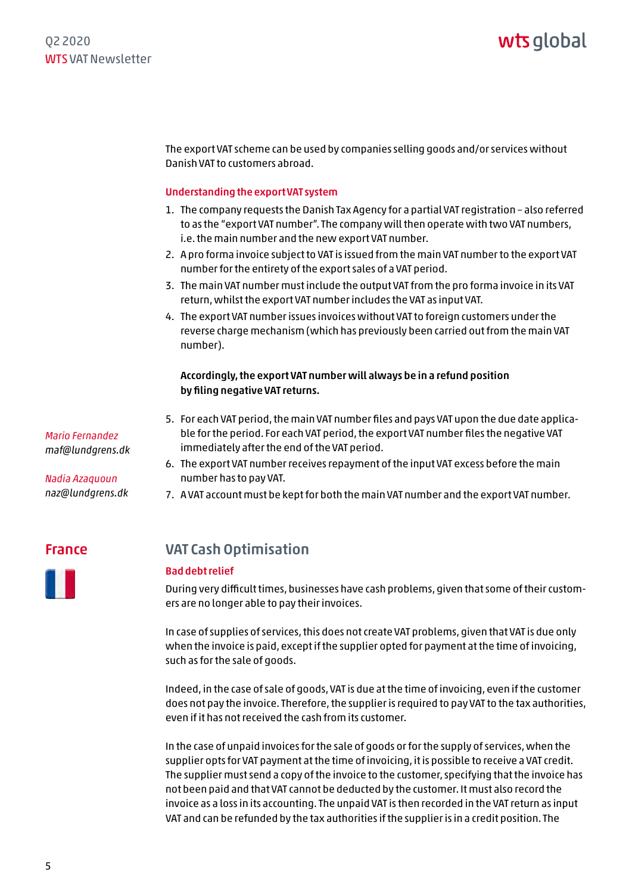<span id="page-4-0"></span>The export VAT scheme can be used by companies selling goods and/or services without Danish VAT to customers abroad.

#### Understanding the export VAT system

- 1. The company requests the Danish Tax Agency for a partial VAT registration also referred to as the "export VAT number". The company will then operate with two VAT numbers, i.e. the main number and the new export VAT number.
- 2. A pro forma invoice subject to VAT is issued from the main VAT number to the export VAT number for the entirety of the export sales of a VAT period.
- 3. The main VAT number must include the output VAT from the pro forma invoice in its VAT return, whilst the export VAT number includes the VAT as input VAT.
- 4. The export VAT number issues invoices without VAT to foreign customers under the reverse charge mechanism (which has previously been carried out from the main VAT number).

#### Accordingly, the export VAT number will always be in a refund position by filing negative VAT returns.

- 5. For each VAT period, the main VAT number files and pays VAT upon the due date applicable for the period. For each VAT period, the export VAT number files the negative VAT immediately after the end of the VAT period.
- 6. The export VAT number receives repayment of the input VAT excess before the main number has to pay VAT.
- 7. A VAT account must be kept for both the main VAT number and the export VAT number.

France

### VAT Cash Optimisation

#### Bad debt relief

During very difficult times, businesses have cash problems, given that some of their customers are no longer able to pay their invoices.

In case of supplies of services, this does not create VAT problems, given that VAT is due only when the invoice is paid, except if the supplier opted for payment at the time of invoicing, such as for the sale of goods.

Indeed, in the case of sale of goods, VAT is due at the time of invoicing, even if the customer does not pay the invoice. Therefore, the supplier is required to pay VAT to the tax authorities, even if it has not received the cash from its customer.

In the case of unpaid invoices for the sale of goods or for the supply of services, when the supplier opts for VAT payment at the time of invoicing, it is possible to receive a VAT credit. The supplier must send a copy of the invoice to the customer, specifying that the invoice has not been paid and that VAT cannot be deducted by the customer. It must also record the invoice as a loss in its accounting. The unpaid VAT is then recorded in the VAT return as input VAT and can be refunded by the tax authorities if the supplier is in a credit position. The

*Mario Fernandez maf@lundgrens.dk* 

*Nadia Azaquoun naz@lundgrens.dk*

5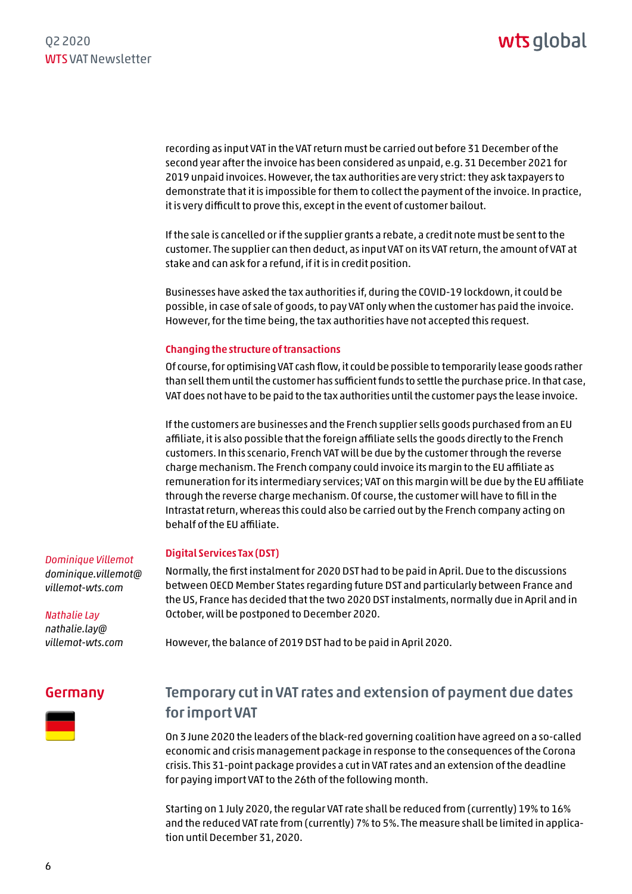<span id="page-5-0"></span>recording as input VAT in the VAT return must be carried out before 31 December of the second year after the invoice has been considered as unpaid, e.g. 31 December 2021 for 2019 unpaid invoices. However, the tax authorities are very strict: they ask taxpayers to demonstrate that it is impossible for them to collect the payment of the invoice. In practice, it is very difficult to prove this, except in the event of customer bailout.

If the sale is cancelled or if the supplier grants a rebate, a credit note must be sent to the customer. The supplier can then deduct, as input VAT on its VAT return, the amount of VAT at stake and can ask for a refund, if it is in credit position.

Businesses have asked the tax authorities if, during the COVID-19 lockdown, it could be possible, in case of sale of goods, to pay VAT only when the customer has paid the invoice. However, for the time being, the tax authorities have not accepted this request.

#### Changing the structure of transactions

Of course, for optimising VAT cash flow, it could be possible to temporarily lease goods rather than sell them until the customer has sufficient funds to settle the purchase price. In that case, VAT does not have to be paid to the tax authorities until the customer pays the lease invoice.

If the customers are businesses and the French supplier sells goods purchased from an EU affiliate, it is also possible that the foreign affiliate sells the goods directly to the French customers. In this scenario, French VAT will be due by the customer through the reverse charge mechanism. The French company could invoice its margin to the EU affiliate as remuneration for its intermediary services; VAT on this margin will be due by the EU affiliate through the reverse charge mechanism. Of course, the customer will have to fill in the Intrastat return, whereas this could also be carried out by the French company acting on behalf of the EU affiliate.

#### Digital Services Tax (DST)

Normally, the first instalment for 2020 DST had to be paid in April. Due to the discussions between OECD Member States regarding future DST and particularly between France and the US, France has decided that the two 2020 DST instalments, normally due in April and in October, will be postponed to December 2020.

However, the balance of 2019 DST had to be paid in April 2020.

#### Germany



### Temporary cut in VAT rates and extension of payment due dates for import VAT

On 3 June 2020 the leaders of the black-red governing coalition have agreed on a so-called economic and crisis management package in response to the consequences of the Corona crisis. This 31-point package provides a cut in VAT rates and an extension of the deadline for paying import VAT to the 26th of the following month.

Starting on 1 July 2020, the regular VAT rate shall be reduced from (currently) 19% to 16% and the reduced VAT rate from (currently) 7% to 5%. The measure shall be limited in application until December 31, 2020.

*Dominique Villemot [dominique.villemot@](mailto:dominique.villemot@villemot-wts.com) villemot-wts.com*

*Nathalie Lay nathalie.lay@ [villemot-wts.com](mailto:nathalie.lay@villemot-wts.com)*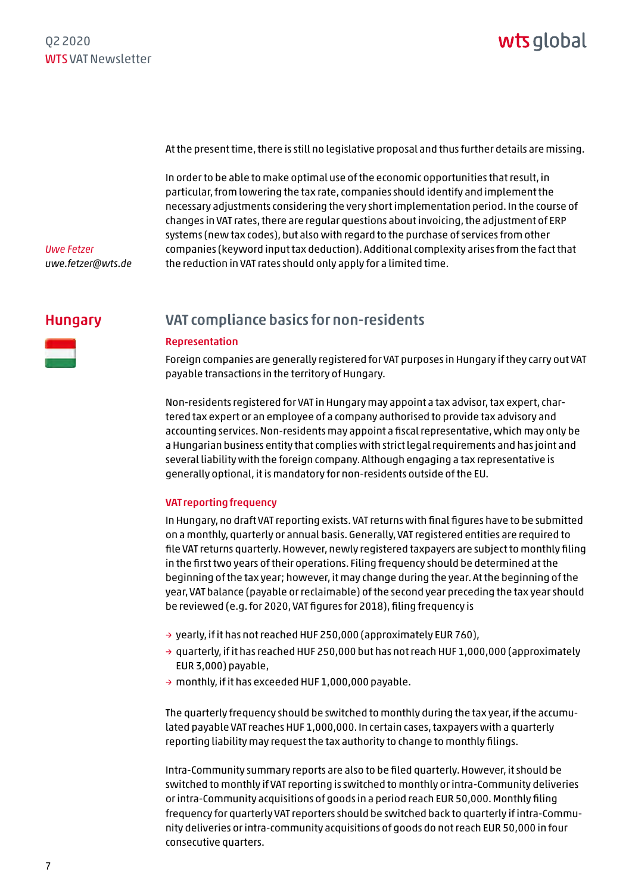<span id="page-6-0"></span>At the present time, there is still no legislative proposal and thus further details are missing.

In order to be able to make optimal use of the economic opportunities that result, in particular, from lowering the tax rate, companies should identify and implement the necessary adjustments considering the very short implementation period. In the course of changes in VAT rates, there are regular questions about invoicing, the adjustment of ERP systems (new tax codes), but also with regard to the purchase of services from other companies (keyword input tax deduction). Additional complexity arises from the fact that the reduction in VAT rates should only apply for a limited time.

*Uwe Fetzer uwe.fetzer@wts.de*

#### Hungary



### VAT compliance basics for non-residents

#### Representation

Foreign companies are generally registered for VAT purposes in Hungary if they carry out VAT payable transactions in the territory of Hungary.

Non-residents registered for VAT in Hungary may appoint a tax advisor, tax expert, chartered tax expert or an employee of a company authorised to provide tax advisory and accounting services. Non-residents may appoint a fiscal representative, which may only be a Hungarian business entity that complies with strict legal requirements and has joint and several liability with the foreign company. Although engaging a tax representative is generally optional, it is mandatory for non-residents outside of the EU.

#### VAT reporting frequency

In Hungary, no draft VAT reporting exists. VAT returns with final figures have to be submitted on a monthly, quarterly or annual basis. Generally, VAT registered entities are required to file VAT returns quarterly. However, newly registered taxpayers are subject to monthly filing in the first two years of their operations. Filing frequency should be determined at the beginning of the tax year; however, it may change during the year. At the beginning of the year, VAT balance (payable or reclaimable) of the second year preceding the tax year should be reviewed (e.g. for 2020, VAT figures for 2018), filing frequency is

- → yearly, if it has not reached HUF 250,000 (approximately EUR 760),
- $\rightarrow$  quarterly, if it has reached HUF 250,000 but has not reach HUF 1,000,000 (approximately EUR 3,000) payable,
- → monthly, if it has exceeded HUF 1,000,000 payable.

The quarterly frequency should be switched to monthly during the tax year, if the accumulated payable VAT reaches HUF 1,000,000. In certain cases, taxpayers with a quarterly reporting liability may request the tax authority to change to monthly filings.

Intra-Community summary reports are also to be filed quarterly. However, it should be switched to monthly if VAT reporting is switched to monthly or intra-Community deliveries or intra-Community acquisitions of goods in a period reach EUR 50,000. Monthly filing frequency for quarterly VAT reporters should be switched back to quarterly if intra-Community deliveries or intra-community acquisitions of goods do not reach EUR 50,000 in four consecutive quarters.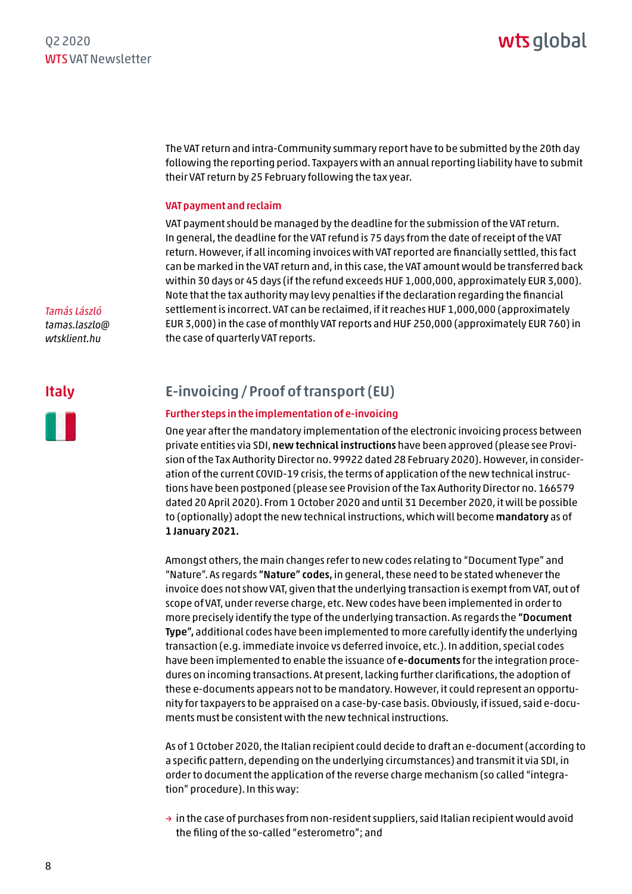<span id="page-7-0"></span>The VAT return and intra-Community summary report have to be submitted by the 20th day following the reporting period. Taxpayers with an annual reporting liability have to submit their VAT return by 25 February following the tax year.

#### VAT payment and reclaim

VAT payment should be managed by the deadline for the submission of the VAT return. In general, the deadline for the VAT refund is 75 days from the date of receipt of the VAT return. However, if all incoming invoices with VAT reported are financially settled, this fact can be marked in the VAT return and, in this case, the VAT amount would be transferred back within 30 days or 45 days (if the refund exceeds HUF 1,000,000, approximately EUR 3,000). Note that the tax authority may levy penalties if the declaration regarding the financial settlement is incorrect. VAT can be reclaimed, if it reaches HUF 1,000,000 (approximately EUR 3,000) in the case of monthly VAT reports and HUF 250,000 (approximately EUR 760) in the case of quarterly VAT reports.

## Italy

*Tamás László [tamas.laszlo@](mailto:tamas.laszlo@wtsklient.hu) wtsklient.hu*



#### E-invoicing/Proof of transport (EU)

#### Further steps in the implementation of e-invoicing

One year after the mandatory implementation of the electronic invoicing process between private entities via SDI, new technical instructions have been approved (please see Provision of the Tax Authority Director no. 99922 dated 28 February 2020). However, in consideration of the current COVID-19 crisis, the terms of application of the new technical instructions have been postponed (please see Provision of the Tax Authority Director no. 166579 dated 20 April 2020). From 1 October 2020 and until 31 December 2020, it will be possible to (optionally) adopt the new technical instructions, which will become mandatory as of 1 January 2021.

Amongst others, the main changes refer to new codes relating to "Document Type" and "Nature". As regards "Nature" codes, in general, these need to be stated whenever the invoice does not show VAT, given that the underlying transaction is exempt from VAT, out of scope of VAT, under reverse charge, etc. New codes have been implemented in order to more precisely identify the type of the underlying transaction. As regards the "Document Type", additional codes have been implemented to more carefully identify the underlying transaction (e.g. immediate invoice vs deferred invoice, etc.). In addition, special codes have been implemented to enable the issuance of e-documents for the integration procedures on incoming transactions. At present, lacking further clarifications, the adoption of these e-documents appears not to be mandatory. However, it could represent an opportunity for taxpayers to be appraised on a case-by-case basis. Obviously, if issued, said e-documents must be consistent with the new technical instructions.

As of 1 October 2020, the Italian recipient could decide to draft an e-document (according to a specific pattern, depending on the underlying circumstances) and transmit it via SDI, in order to document the application of the reverse charge mechanism (so called "integration" procedure). In this way:

 $\rightarrow$  in the case of purchases from non-resident suppliers, said Italian recipient would avoid the filing of the so-called "esterometro"; and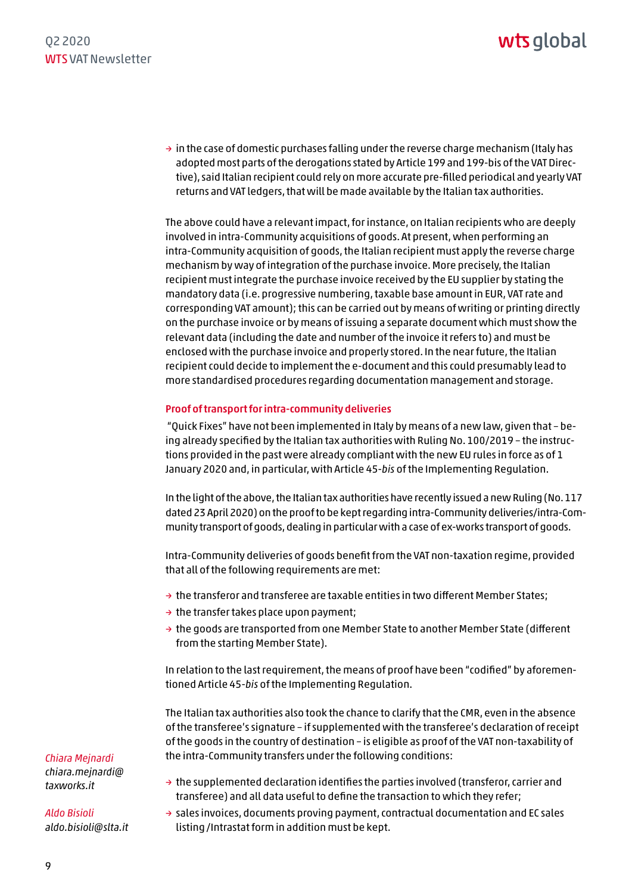#### Q2 2020 WTS VAT Newsletter

## wts global

 $\rightarrow$  in the case of domestic purchases falling under the reverse charge mechanism (Italy has adopted most parts of the derogations stated by Article 199 and 199-bis of the VAT Directive), said Italian recipient could rely on more accurate pre-filled periodical and yearly VAT returns and VAT ledgers, that will be made available by the Italian tax authorities.

The above could have a relevant impact, for instance, on Italian recipients who are deeply involved in intra-Community acquisitions of goods. At present, when performing an intra-Community acquisition of goods, the Italian recipient must apply the reverse charge mechanism by way of integration of the purchase invoice. More precisely, the Italian recipient must integrate the purchase invoice received by the EU supplier by stating the mandatory data (i.e. progressive numbering, taxable base amount in EUR, VAT rate and corresponding VAT amount); this can be carried out by means of writing or printing directly on the purchase invoice or by means of issuing a separate document which must show the relevant data (including the date and number of the invoice it refers to) and must be enclosed with the purchase invoice and properly stored. In the near future, the Italian recipient could decide to implement the e-document and this could presumably lead to more standardised procedures regarding documentation management and storage.

#### Proof of transport for intra-community deliveries

 "Quick Fixes" have not been implemented in Italy by means of a new law, given that – being already specified by the Italian tax authorities with Ruling No. 100/2019 – the instructions provided in the past were already compliant with the new EU rules in force as of 1 January 2020 and, in particular, with Article 45-*bis* of the Implementing Regulation.

In the light of the above, the Italian tax authorities have recently issued a new Ruling (No. 117 dated 23 April 2020) on the proof to be kept regarding intra-Community deliveries/intra-Community transport of goods, dealing in particular with a case of ex-works transport of goods.

Intra-Community deliveries of goods benefit from the VAT non-taxation regime, provided that all of the following requirements are met:

- $\rightarrow$  the transferor and transferee are taxable entities in two different Member States;
- $\rightarrow$  the transfer takes place upon payment;
- $\rightarrow$  the goods are transported from one Member State to another Member State (different from the starting Member State).

In relation to the last requirement, the means of proof have been "codified" by aforementioned Article 45-*bis* of the Implementing Regulation.

The Italian tax authorities also took the chance to clarify that the CMR, even in the absence of the transferee's signature – if supplemented with the transferee's declaration of receipt of the goods in the country of destination – is eligible as proof of the VAT non-taxability of the intra-Community transfers under the following conditions:

*Chiara Mejnardi [chiara.mejnardi@](mailto:chiara.mejnardi@taxworks.it)*

- $\rightarrow$  the supplemented declaration identifies the parties involved (transferor, carrier and transferee) and all data useful to define the transaction to which they refer;
- $\rightarrow$  sales invoices, documents proving payment, contractual documentation and EC sales listing/Intrastat form in addition must be kept.

*taxworks.it*

*Aldo Bisioli aldo.bisioli@slta.it*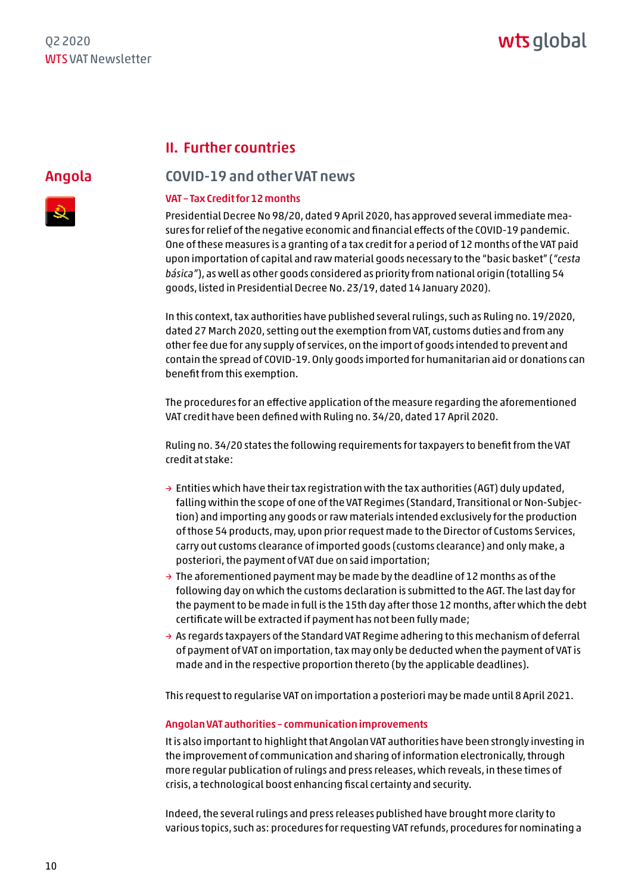#### II. Further countries

<span id="page-9-0"></span>Angola



#### COVID-19 and other VAT news

#### VAT – Tax Credit for 12 months

Presidential Decree No 98/20, dated 9 April 2020, has approved several immediate measures for relief of the negative economic and financial effects of the COVID-19 pandemic. One of these measures is a granting of a tax credit for a period of 12 months of the VAT paid upon importation of capital and raw material goods necessary to the "basic basket" (*"cesta básica"*), as well as other goods considered as priority from national origin (totalling 54 goods, listed in Presidential Decree No. 23/19, dated 14 January 2020).

In this context, tax authorities have published several rulings, such as Ruling no. 19/2020, dated 27 March 2020, setting out the exemption from VAT, customs duties and from any other fee due for any supply of services, on the import of goods intended to prevent and contain the spread of COVID-19. Only goods imported for humanitarian aid or donations can benefit from this exemption.

The procedures for an effective application of the measure regarding the aforementioned VAT credit have been defined with Ruling no. 34/20, dated 17 April 2020.

Ruling no. 34/20 states the following requirements for taxpayers to benefit from the VAT credit at stake:

- $\rightarrow$  Entities which have their tax registration with the tax authorities (AGT) duly updated, falling within the scope of one of the VAT Regimes (Standard, Transitional or Non-Subjection) and importing any goods or raw materials intended exclusively for the production of those 54 products, may, upon prior request made to the Director of Customs Services, carry out customs clearance of imported goods (customs clearance) and only make, a posteriori, the payment of VAT due on said importation;
- $\rightarrow$  The aforementioned payment may be made by the deadline of 12 months as of the following day on which the customs declaration is submitted to the AGT. The last day for the payment to be made in full is the 15th day after those 12 months, after which the debt certificate will be extracted if payment has not been fully made;
- $\rightarrow$  As regards taxpayers of the Standard VAT Regime adhering to this mechanism of deferral of payment of VAT on importation, tax may only be deducted when the payment of VAT is made and in the respective proportion thereto (by the applicable deadlines).

This request to regularise VAT on importation a posteriori may be made until 8 April 2021.

#### Angolan VAT authorities – communication improvements

It is also important to highlight that Angolan VAT authorities have been strongly investing in the improvement of communication and sharing of information electronically, through more regular publication of rulings and press releases, which reveals, in these times of crisis, a technological boost enhancing fiscal certainty and security.

Indeed, the several rulings and press releases published have brought more clarity to various topics, such as: procedures for requesting VAT refunds, procedures for nominating a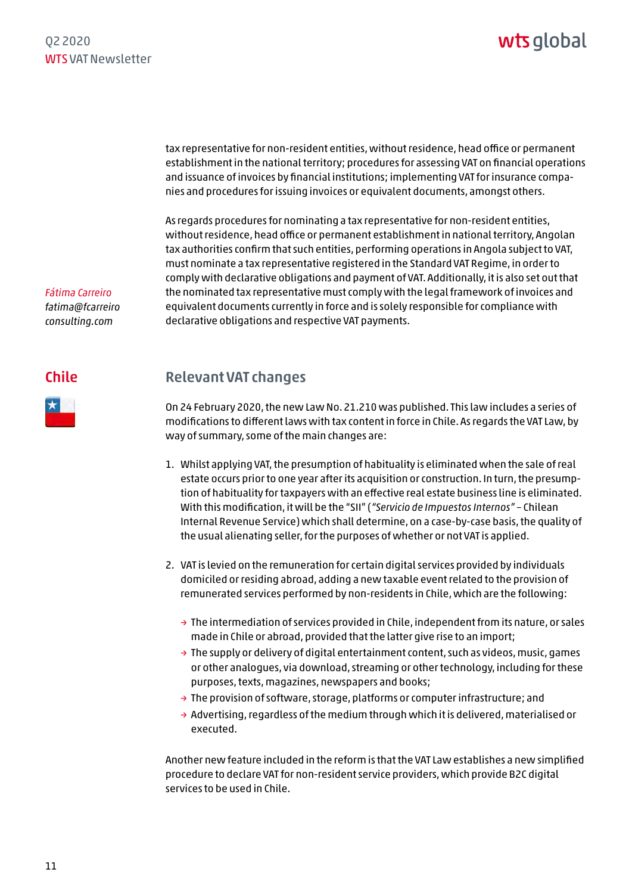<span id="page-10-0"></span>tax representative for non-resident entities, without residence, head office or permanent establishment in the national territory; procedures for assessing VAT on financial operations and issuance of invoices by financial institutions; implementing VAT for insurance companies and procedures for issuing invoices or equivalent documents, amongst others.

As regards procedures for nominating a tax representative for non-resident entities, without residence, head office or permanent establishment in national territory, Angolan tax authorities confirm that such entities, performing operations in Angola subject to VAT, must nominate a tax representative registered in the Standard VAT Regime, in order to comply with declarative obligations and payment of VAT. Additionally, it is also set out that the nominated tax representative must comply with the legal framework of invoices and equivalent documents currently in force and is solely responsible for compliance with declarative obligations and respective VAT payments.

*[fatima@fcarreiro](mailto:fatima@fcarreiroconsulting.com) consulting.com*

*Fátima Carreiro*

#### Chile

### Relevant VAT changes

On 24 February 2020, the new Law No. 21.210 was published. This law includes a series of modifications to different laws with tax content in force in Chile. As regards the VAT Law, by way of summary, some of the main changes are:

- 1. Whilst applying VAT, the presumption of habituality is eliminated when the sale of real estate occurs prior to one year after its acquisition or construction. In turn, the presumption of habituality for taxpayers with an effective real estate business line is eliminated. With this modification, it will be the "SII" (*"Servicio de Impuestos Internos"* – Chilean Internal Revenue Service) which shall determine, on a case-by-case basis, the quality of the usual alienating seller, for the purposes of whether or not VAT is applied.
- 2. VAT is levied on the remuneration for certain digital services provided by individuals domiciled or residing abroad, adding a new taxable event related to the provision of remunerated services performed by non-residents in Chile, which are the following:
	- $\rightarrow$  The intermediation of services provided in Chile, independent from its nature, or sales made in Chile or abroad, provided that the latter give rise to an import;
	- $\rightarrow$  The supply or delivery of digital entertainment content, such as videos, music, games or other analogues, via download, streaming or other technology, including for these purposes, texts, magazines, newspapers and books;
	- → The provision of software, storage, platforms or computer infrastructure; and
	- $\rightarrow$  Advertising, regardless of the medium through which it is delivered, materialised or executed.

Another new feature included in the reform is that the VAT Law establishes a new simplified procedure to declare VAT for non-resident service providers, which provide B2C digital services to be used in Chile.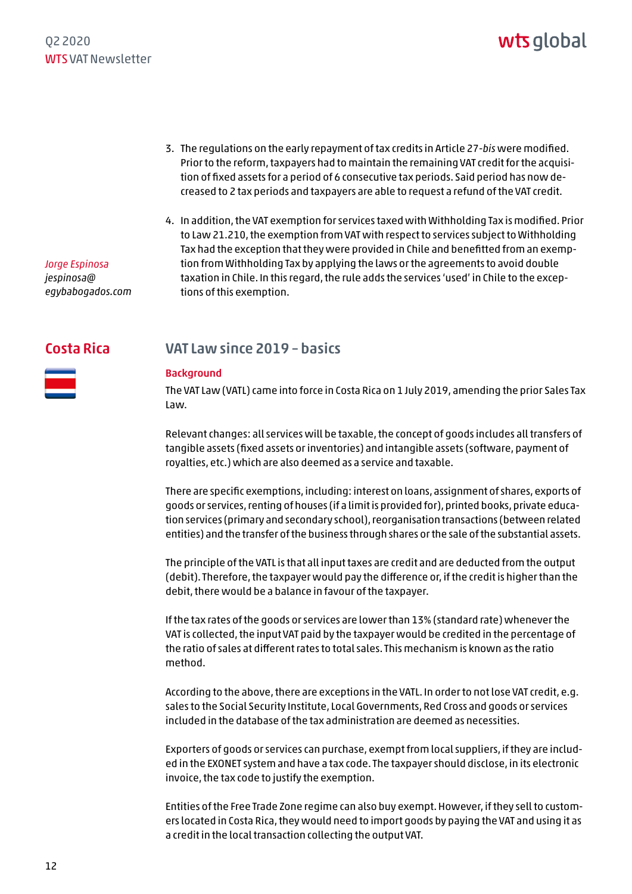- <span id="page-11-0"></span>3. The regulations on the early repayment of tax credits in Article 27-*bis* were modified. Prior to the reform, taxpayers had to maintain the remaining VAT credit for the acquisition of fixed assets for a period of 6 consecutive tax periods. Said period has now decreased to 2 tax periods and taxpayers are able to request a refund of the VAT credit.
- 4. In addition, the VAT exemption for services taxed with Withholding Tax is modified. Prior to Law 21.210, the exemption from VAT with respect to services subject to Withholding Tax had the exception that they were provided in Chile and benefitted from an exemption from Withholding Tax by applying the laws or the agreements to avoid double taxation in Chile. In this regard, the rule adds the services 'used' in Chile to the exceptions of this exemption.

#### Costa Rica

*Jorge Espinosa jespinosa@*

*[egybabogados.com](mailto:jespinosa@egybabogados.com)*



#### VAT Law since 2019 – basics

#### Background

The VAT Law (VATL) came into force in Costa Rica on 1 July 2019, amending the prior Sales Tax Law.

Relevant changes: all services will be taxable, the concept of goods includes all transfers of tangible assets (fixed assets or inventories) and intangible assets (software, payment of royalties, etc.) which are also deemed as a service and taxable.

There are specific exemptions, including: interest on loans, assignment of shares, exports of goods or services, renting of houses (if a limit is provided for), printed books, private education services (primary and secondary school), reorganisation transactions (between related entities) and the transfer of the business through shares or the sale of the substantial assets.

The principle of the VATL is that all input taxes are credit and are deducted from the output (debit). Therefore, the taxpayer would pay the difference or, if the credit is higher than the debit, there would be a balance in favour of the taxpayer.

If the tax rates of the goods or services are lower than 13% (standard rate) whenever the VAT is collected, the input VAT paid by the taxpayer would be credited in the percentage of the ratio of sales at different rates to total sales. This mechanism is known as the ratio method.

According to the above, there are exceptions in the VATL. In order to not lose VAT credit, e.g. sales to the Social Security Institute, Local Governments, Red Cross and goods or services included in the database of the tax administration are deemed as necessities.

Exporters of goods or services can purchase, exempt from local suppliers, if they are included in the EXONET system and have a tax code. The taxpayer should disclose, in its electronic invoice, the tax code to justify the exemption.

Entities of the Free Trade Zone regime can also buy exempt. However, if they sell to customers located in Costa Rica, they would need to import goods by paying the VAT and using it as a credit in the local transaction collecting the output VAT.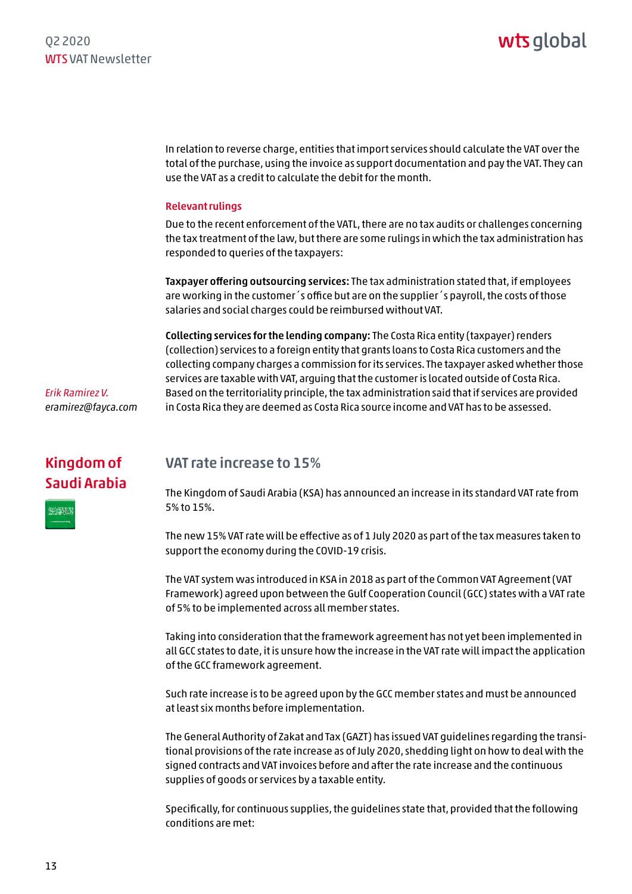<span id="page-12-0"></span>In relation to reverse charge, entities that import services should calculate the VAT over the total of the purchase, using the invoice as support documentation and pay the VAT. They can use the VAT as a credit to calculate the debit for the month.

#### Relevant rulings

Due to the recent enforcement of the VATL, there are no tax audits or challenges concerning the tax treatment of the law, but there are some rulings in which the tax administration has responded to queries of the taxpayers:

Taxpayer offering outsourcing services: The tax administration stated that, if employees are working in the customer´s office but are on the supplier´s payroll, the costs of those salaries and social charges could be reimbursed without VAT.

Collecting services for the lending company: The Costa Rica entity (taxpayer) renders (collection) services to a foreign entity that grants loans to Costa Rica customers and the collecting company charges a commission for its services. The taxpayer asked whether those services are taxable with VAT, arguing that the customer is located outside of Costa Rica. Based on the territoriality principle, the tax administration said that if services are provided in Costa Rica they are deemed as Costa Rica source income and VAT has to be assessed.

*Erik Ramirez V. eramirez@fayca.com*

## Kingdom of Saudi Arabia

**BISSENT** 

#### VAT rate increase to 15%

The Kingdom of Saudi Arabia (KSA) has announced an increase in its standard VAT rate from 5% to 15%.

The new 15% VAT rate will be effective as of 1 July 2020 as part of the tax measures taken to support the economy during the COVID-19 crisis.

The VAT system was introduced in KSA in 2018 as part of the Common VAT Agreement (VAT Framework) agreed upon between the Gulf Cooperation Council (GCC) states with a VAT rate of 5% to be implemented across all member states.

Taking into consideration that the framework agreement has not yet been implemented in all GCC states to date, it is unsure how the increase in the VAT rate will impact the application of the GCC framework agreement.

Such rate increase is to be agreed upon by the GCC member states and must be announced at least six months before implementation.

The General Authority of Zakat and Tax (GAZT) has issued VAT guidelines regarding the transitional provisions of the rate increase as of July 2020, shedding light on how to deal with the signed contracts and VAT invoices before and after the rate increase and the continuous supplies of goods or services by a taxable entity.

Specifically, for continuous supplies, the guidelines state that, provided that the following conditions are met:

13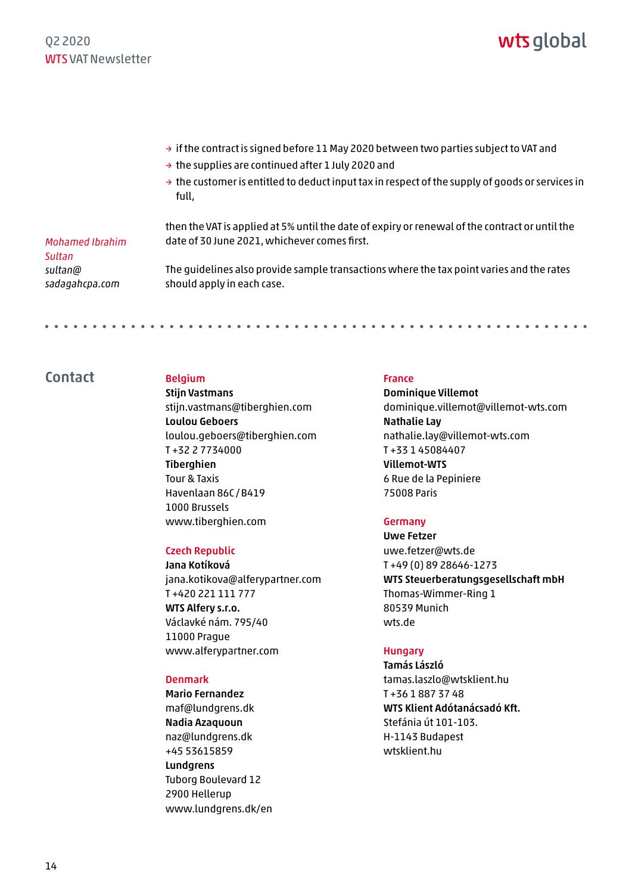- <span id="page-13-0"></span> $\rightarrow$  if the contract is signed before 11 May 2020 between two parties subject to VAT and
- $\rightarrow$  the supplies are continued after 1 July 2020 and
- $\rightarrow$  the customer is entitled to deduct input tax in respect of the supply of goods or services in full,

*Mohamed Ibrahim Sultan sultan@ [sadagahcpa.com](mailto:sultan@sadagahcpa.com)*

. . . . . . . . . . . . .

then the VAT is applied at 5% until the date of expiry or renewal of the contract or until the date of 30 June 2021, whichever comes first.

The guidelines also provide sample transactions where the tax point varies and the rates should apply in each case.

#### Contact Belgium

Stijn Vastmans stijn.vastmans@tiberghien.com Loulou Geboers loulou.geboers@tiberghien.com T +32 2 7734000 **Tiberahien** Tour & Taxis Havenlaan 86C /B419 1000 Brussels www.tiberghien.com

#### Czech Republic

Jana Kotíková jana.kotikova@alferypartner.com T +420 221 111 777 WTS Alfery s.r.o. Václavké nám. 795/40 11000 Prague www.alferypartner.com

#### Denmark

Mario Fernandez maf@lundgrens.dk Nadia Azaquoun naz@lundgrens.dk +45 53615859 **Lundarens** Tuborg Boulevard 12 2900 Hellerup www.lundgrens.dk/en

#### France

Dominique Villemot dominique.villemot@villemot-wts.com Nathalie Lay nathalie.lay@villemot-wts.com T +33 1 45084407 Villemot-WTS 6 Rue de la Pepiniere 75008 Paris

#### Germany

Uwe Fetzer uwe.fetzer@wts.de T +49 (0) 89 28646-1273 WTS Steuerberatungsgesellschaft mbH Thomas-Wimmer-Ring 1 80539 Munich [wts.de](https://wts.com/de-de)

#### **Hungary**

Tamás László tamas.laszlo@wtsklient.hu T +36 1 887 37 48 WTS Klient Adótanácsadó Kft. Stefánia út 101-103. H-1143 Budapest [wtsklient.hu](https://wtsklient.hu)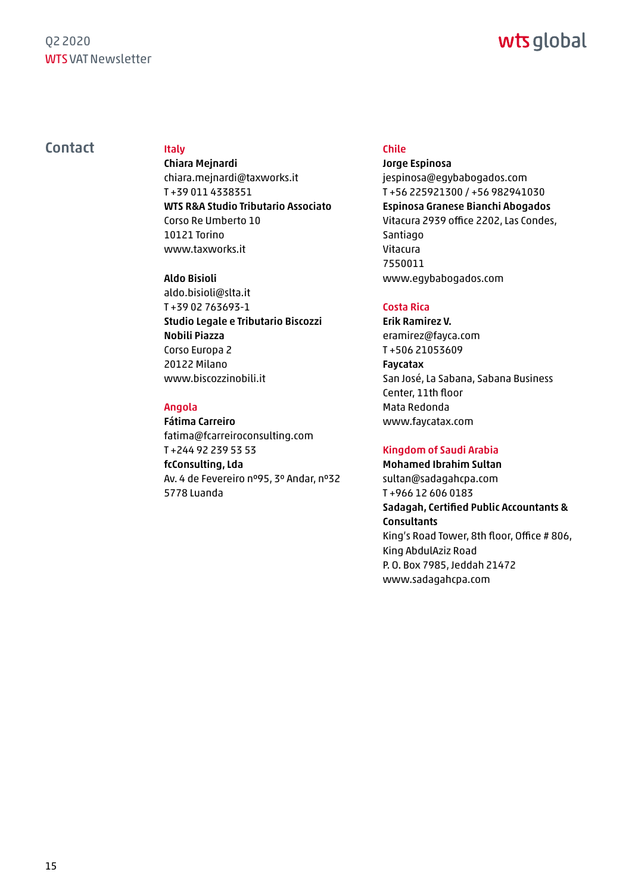#### Q2 2020 WTS VAT Newsletter

# wts global

#### Contact Italy

Chiara Mejnardi chiara.mejnardi@taxworks.it T +39 011 4338351 WTS R&A Studio Tributario Associato Corso Re Umberto 10 10121 Torino www.taxworks.it

#### Aldo Bisioli

aldo.bisioli@slta.it T +39 02 763693-1 Studio Legale e Tributario Biscozzi Nobili Piazza Corso Europa 2 20122 Milano www.biscozzinobili.it

#### Angola

Fátima Carreiro fatima@fcarreiroconsulting.com T +244 92 239 53 53 fcConsulting, Lda Av. 4 de Fevereiro nº95, 3º Andar, nº32 5778 Luanda

#### Chile

Jorge Espinosa jespinosa@egybabogados.com T +56 225921300 / +56 982941030 Espinosa Granese Bianchi Abogados Vitacura 2939 office 2202, Las Condes, Santiago Vitacura 7550011 www.egybabogados.com

#### Costa Rica

Erik Ramirez V. eramirez@fayca.com T +506 21053609 Faycatax San José, La Sabana, Sabana Business Center, 11th floor Mata Redonda www.faycatax.com

#### Kingdom of Saudi Arabia

Mohamed Ibrahim Sultan sultan@sadagahcpa.com T +966 12 606 0183 Sadagah, Certified Public Accountants & **Consultants** King's Road Tower, 8th floor, Office # 806, King AbdulAziz Road P. O. Box 7985, Jeddah 21472 www.sadagahcpa.com